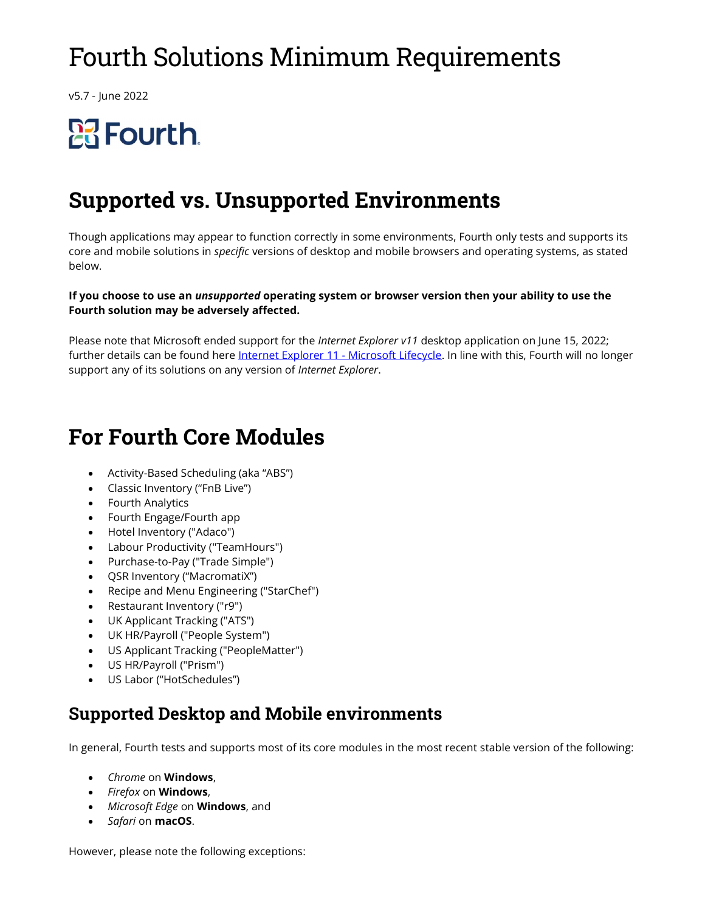## Fourth Solutions Minimum Requirements

v5.7 - June 2022

# **Pa** Fourth.

## Supported vs. Unsupported Environments

Though applications may appear to function correctly in some environments, Fourth only tests and supports its core and mobile solutions in specific versions of desktop and mobile browsers and operating systems, as stated below.

#### If you choose to use an *unsupported* operating system or browser version then your ability to use the Fourth solution may be adversely affected.

Please note that Microsoft ended support for the Internet Explorer v11 desktop application on June 15, 2022; further details can be found here Internet Explorer 11 - Microsoft Lifecycle. In line with this, Fourth will no longer support any of its solutions on any version of *Internet Explorer*.

## For Fourth Core Modules

- Activity-Based Scheduling (aka "ABS")
- Classic Inventory ("FnB Live")
- Fourth Analytics
- Fourth Engage/Fourth app
- Hotel Inventory ("Adaco")
- Labour Productivity ("TeamHours")
- Purchase-to-Pay ("Trade Simple")
- QSR Inventory ("MacromatiX")
- Recipe and Menu Engineering ("StarChef")
- Restaurant Inventory ("r9")
- UK Applicant Tracking ("ATS")
- UK HR/Payroll ("People System")
- US Applicant Tracking ("PeopleMatter")
- US HR/Payroll ("Prism")
- US Labor ("HotSchedules")

#### Supported Desktop and Mobile environments

In general, Fourth tests and supports most of its core modules in the most recent stable version of the following:

- Chrome on Windows,
- Firefox on Windows,
- Microsoft Edge on Windows, and
- Safari on **macOS**.

However, please note the following exceptions: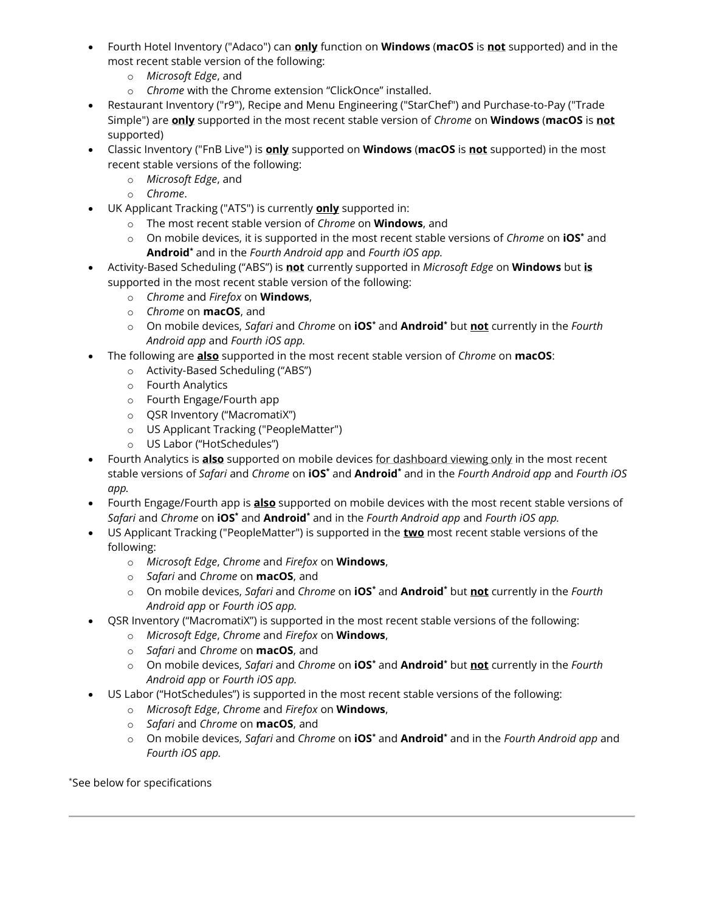- Fourth Hotel Inventory ("Adaco") can **only** function on **Windows (macOS** is not supported) and in the most recent stable version of the following:
	- o Microsoft Edge, and
	- o Chrome with the Chrome extension "ClickOnce" installed.
- Restaurant Inventory ("r9"), Recipe and Menu Engineering ("StarChef") and Purchase-to-Pay ("Trade Simple") are **only** supported in the most recent stable version of Chrome on Windows (macOS is not supported)
- Classic Inventory ("FnB Live") is **only** supported on **Windows (macOS** is not supported) in the most recent stable versions of the following:
	- o Microsoft Edge, and
	- o Chrome.
- UK Applicant Tracking ("ATS") is currently **only** supported in:
	- o The most recent stable version of Chrome on **Windows**, and
	- $\circ$  On mobile devices, it is supported in the most recent stable versions of Chrome on iOS\* and **Android**\* and in the Fourth Android app and Fourth iOS app.
- Activity-Based Scheduling ("ABS") is not currently supported in Microsoft Edge on Windows but is supported in the most recent stable version of the following:
	- o Chrome and Firefox on **Windows**,
	- o *Chrome* on **macOS**, and
	- $\circ$  On mobile devices, Safari and Chrome on **iOS**\* and **Android**\* but not currently in the Fourth Android app and Fourth iOS app.
- The following are **also** supported in the most recent stable version of *Chrome* on **macOS**:
	- o Activity-Based Scheduling ("ABS")
	- o Fourth Analytics
	- o Fourth Engage/Fourth app
	- o QSR Inventory ("MacromatiX")
	- o US Applicant Tracking ("PeopleMatter")
	- o US Labor ("HotSchedules")
- Fourth Analytics is also supported on mobile devices for dashboard viewing only in the most recent stable versions of Safari and Chrome on **iOS**\* and **Android**\* and in the Fourth Android app and Fourth iOS app.
- Fourth Engage/Fourth app is **also** supported on mobile devices with the most recent stable versions of *Safari* and Chrome on **iOS**\* and **Android**\* and in the Fourth Android app and Fourth iOS app.
- US Applicant Tracking ("PeopleMatter") is supported in the **two** most recent stable versions of the following:
	- o Microsoft Edge, Chrome and Firefox on Windows,
	- $\circ$  *Safari* and *Chrome* on **macOS**, and
	- o On mobile devices, Safari and Chrome on **iOS**\* and **Android**\* but not currently in the Fourth Android app or Fourth iOS app.
- QSR Inventory ("MacromatiX") is supported in the most recent stable versions of the following:
	- o Microsoft Edge, Chrome and Firefox on Windows,
	- $\circ$  *Safari* and *Chrome* on **macOS**, and
	- o On mobile devices, Safari and Chrome on **iOS**\* and **Android**\* but not currently in the Fourth Android app or Fourth iOS app.
- US Labor ("HotSchedules") is supported in the most recent stable versions of the following:
	- o Microsoft Edge, Chrome and Firefox on Windows,
	- $\circ$  *Safari* and *Chrome* on **macOS**, and
	- $\circ$  On mobile devices, Safari and Chrome on **iOS**<sup>\*</sup> and **Android**<sup>\*</sup> and in the Fourth Android app and Fourth iOS app.

\*See below for specifications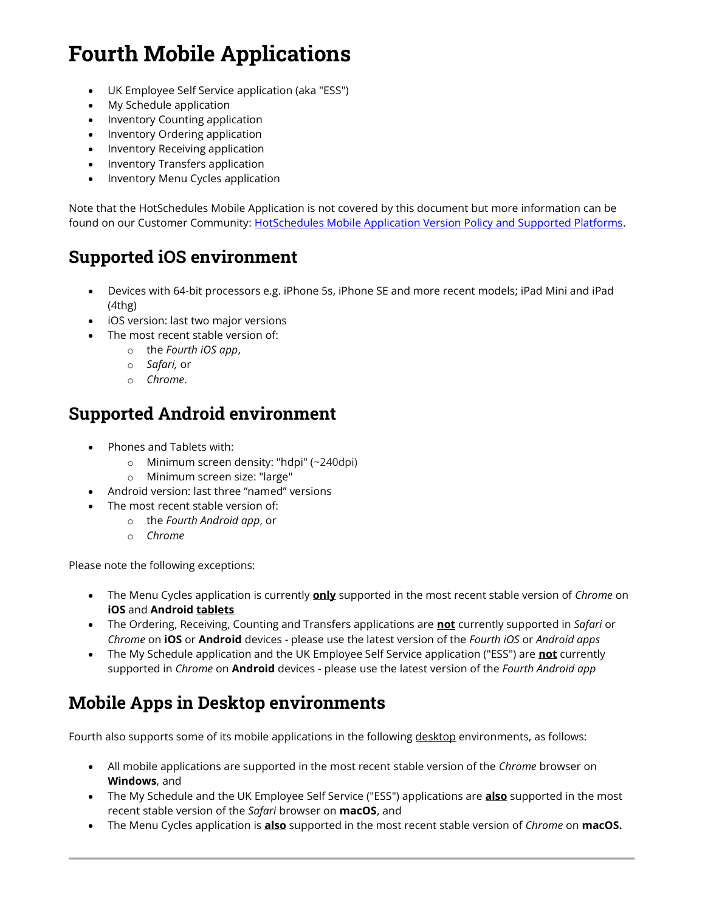## Fourth Mobile Applications

- UK Employee Self Service application (aka "ESS")
- My Schedule application
- Inventory Counting application
- Inventory Ordering application
- Inventory Receiving application
- Inventory Transfers application
- Inventory Menu Cycles application

Note that the HotSchedules Mobile Application is not covered by this document but more information can be found on our Customer Community: HotSchedules Mobile Application Version Policy and Supported Platforms.

#### Supported iOS environment

- Devices with 64-bit processors e.g. iPhone 5s, iPhone SE and more recent models; iPad Mini and iPad (4thg)
- iOS version: last two major versions
- The most recent stable version of:
	- o the Fourth iOS app,
	- o Safari, or
	- o Chrome.

#### Supported Android environment

- Phones and Tablets with:
	- o Minimum screen density: "hdpi" (~240dpi)
	- o Minimum screen size: "large"
- Android version: last three "named" versions
- The most recent stable version of:
	- o the Fourth Android app, or
	- o Chrome

Please note the following exceptions:

- The Menu Cycles application is currently **only** supported in the most recent stable version of Chrome on iOS and Android tablets
- The Ordering, Receiving, Counting and Transfers applications are not currently supported in Safari or Chrome on **iOS** or **Android** devices - please use the latest version of the Fourth iOS or Android apps
- The My Schedule application and the UK Employee Self Service application ("ESS") are **not** currently supported in Chrome on Android devices - please use the latest version of the Fourth Android app

#### Mobile Apps in Desktop environments

Fourth also supports some of its mobile applications in the following desktop environments, as follows:

- All mobile applications are supported in the most recent stable version of the Chrome browser on Windows, and
- The My Schedule and the UK Employee Self Service ("ESS") applications are **also** supported in the most recent stable version of the Safari browser on macOS, and
- The Menu Cycles application is **also** supported in the most recent stable version of *Chrome* on **macOS.**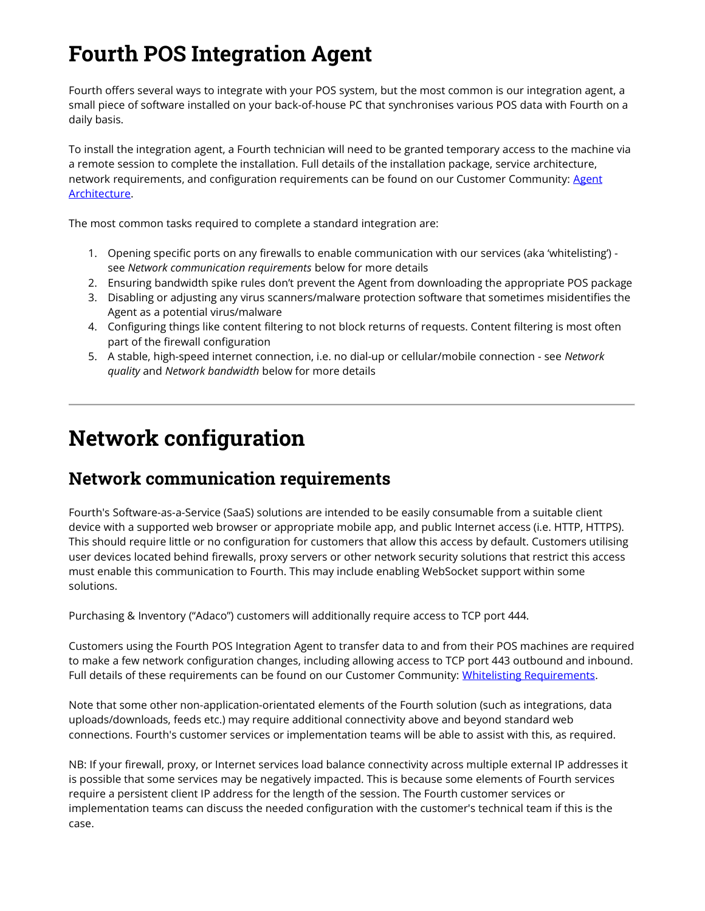## Fourth POS Integration Agent

Fourth offers several ways to integrate with your POS system, but the most common is our integration agent, a small piece of software installed on your back-of-house PC that synchronises various POS data with Fourth on a daily basis.

To install the integration agent, a Fourth technician will need to be granted temporary access to the machine via a remote session to complete the installation. Full details of the installation package, service architecture, network requirements, and configuration requirements can be found on our Customer Community: Agent Architecture.

The most common tasks required to complete a standard integration are:

- 1. Opening specific ports on any firewalls to enable communication with our services (aka 'whitelisting') see Network communication requirements below for more details
- 2. Ensuring bandwidth spike rules don't prevent the Agent from downloading the appropriate POS package
- 3. Disabling or adjusting any virus scanners/malware protection software that sometimes misidentifies the Agent as a potential virus/malware
- 4. Configuring things like content filtering to not block returns of requests. Content filtering is most often part of the firewall configuration
- 5. A stable, high-speed internet connection, i.e. no dial-up or cellular/mobile connection see Network quality and Network bandwidth below for more details

## Network configuration

#### Network communication requirements

Fourth's Software-as-a-Service (SaaS) solutions are intended to be easily consumable from a suitable client device with a supported web browser or appropriate mobile app, and public Internet access (i.e. HTTP, HTTPS). This should require little or no configuration for customers that allow this access by default. Customers utilising user devices located behind firewalls, proxy servers or other network security solutions that restrict this access must enable this communication to Fourth. This may include enabling WebSocket support within some solutions.

Purchasing & Inventory ("Adaco") customers will additionally require access to TCP port 444.

Customers using the Fourth POS Integration Agent to transfer data to and from their POS machines are required to make a few network configuration changes, including allowing access to TCP port 443 outbound and inbound. Full details of these requirements can be found on our Customer Community: Whitelisting Requirements.

Note that some other non-application-orientated elements of the Fourth solution (such as integrations, data uploads/downloads, feeds etc.) may require additional connectivity above and beyond standard web connections. Fourth's customer services or implementation teams will be able to assist with this, as required.

NB: If your firewall, proxy, or Internet services load balance connectivity across multiple external IP addresses it is possible that some services may be negatively impacted. This is because some elements of Fourth services require a persistent client IP address for the length of the session. The Fourth customer services or implementation teams can discuss the needed configuration with the customer's technical team if this is the case.